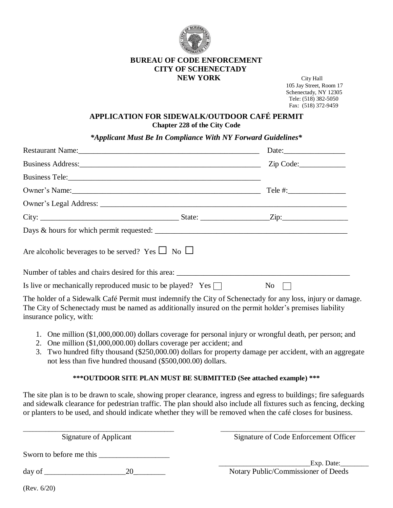

## **BUREAU OF CODE ENFORCEMENT CITY OF SCHENECTADY NEW YORK** City Hall

 105 Jay Street, Room 17 Schenectady, NY 12305 Tele: (518) 382-5050 Fax: (518) 372-9459

## **APPLICATION FOR SIDEWALK/OUTDOOR CAFÉ PERMIT Chapter 228 of the City Code**

*\*Applicant Must Be In Compliance With NY Forward Guidelines\**

|                                                                                                             | Date: $\frac{1}{2}$                                    |
|-------------------------------------------------------------------------------------------------------------|--------------------------------------------------------|
| Business Address: Zip Code: Zip Code:                                                                       |                                                        |
|                                                                                                             |                                                        |
|                                                                                                             |                                                        |
|                                                                                                             |                                                        |
|                                                                                                             |                                                        |
|                                                                                                             |                                                        |
| Are alcoholic beverages to be served? Yes $\Box$ No $\Box$                                                  |                                                        |
|                                                                                                             |                                                        |
| Is live or mechanically reproduced music to be played? Yes $\Box$                                           | $\begin{array}{c c} \n\text{No} &   &   \n\end{array}$ |
| The holder of a Sidewalk Café Permit must indemnify the City of Schenectady for any loss, injury or damage. |                                                        |

The City of Schenectady must be named as additionally insured on the permit holder's premises liability insurance policy, with:

- 1. One million (\$1,000,000.00) dollars coverage for personal injury or wrongful death, per person; and
- 2. One million (\$1,000,000.00) dollars coverage per accident; and
- 3. Two hundred fifty thousand (\$250,000.00) dollars for property damage per accident, with an aggregate not less than five hundred thousand (\$500,000.00) dollars.

## **\*\*\*OUTDOOR SITE PLAN MUST BE SUBMITTED (See attached example) \*\*\***

The site plan is to be drawn to scale, showing proper clearance, ingress and egress to buildings; fire safeguards and sidewalk clearance for pedestrian traffic. The plan should also include all fixtures such as fencing, decking or planters to be used, and should indicate whether they will be removed when the café closes for business.

 $\_$  ,  $\_$  ,  $\_$  ,  $\_$  ,  $\_$  ,  $\_$  ,  $\_$  ,  $\_$  ,  $\_$  ,  $\_$  ,  $\_$  ,  $\_$  ,  $\_$  ,  $\_$  ,  $\_$  ,  $\_$  ,  $\_$  ,  $\_$  ,  $\_$  ,  $\_$  ,  $\_$  ,  $\_$  ,  $\_$  ,  $\_$  ,  $\_$  ,  $\_$  ,  $\_$  ,  $\_$  ,  $\_$  ,  $\_$  ,  $\_$  ,  $\_$  ,  $\_$  ,  $\_$  ,  $\_$  ,  $\_$  ,  $\_$  ,

Signature of Applicant Signature of Code Enforcement Officer

Sworn to before me this \_\_\_\_\_\_\_\_\_\_\_\_\_\_\_\_\_\_\_\_

day of \_\_\_\_\_\_\_\_\_\_\_\_\_\_\_\_\_\_\_\_\_\_\_20\_\_\_\_\_\_\_\_\_ Notary Public/Commissioner of Deeds

Exp. Date:

(Rev. 6/20)